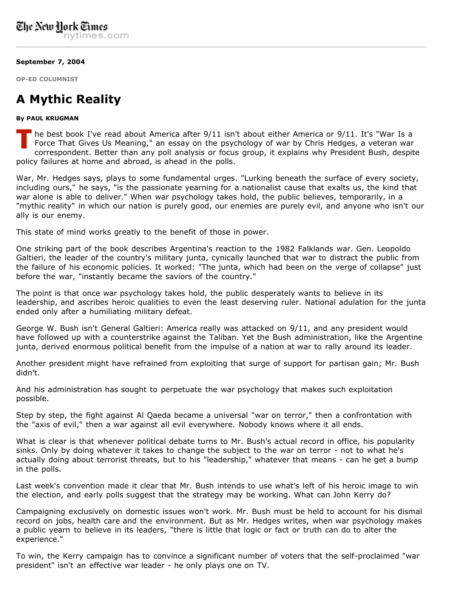## **September 7, 2004**

**OP-ED COLUMNIST**

## **A Mythic Reality**

## **By PAUL KRUGMAN**

he best book I've read about America after 9/11 isn't about either America or 9/11. It's "War Is a Force That Gives Us Meaning," an essay on the psychology of war by Chris Hedges, a veteran war correspondent. Better than any poll analysis or focus group, it explains why President Bush, despite policy failures at home and abroad, is ahead in the polls.

War, Mr. Hedges says, plays to some fundamental urges. "Lurking beneath the surface of every society, including ours," he says, "is the passionate yearning for a nationalist cause that exalts us, the kind that war alone is able to deliver." When war psychology takes hold, the public believes, temporarily, in a "mythic reality" in which our nation is purely good, our enemies are purely evil, and anyone who isn't our ally is our enemy.

This state of mind works greatly to the benefit of those in power.

One striking part of the book describes Argentina's reaction to the 1982 Falklands war. Gen. Leopoldo Galtieri, the leader of the country's military junta, cynically launched that war to distract the public from the failure of his economic policies. It worked: "The junta, which had been on the verge of collapse" just before the war, "instantly became the saviors of the country."

The point is that once war psychology takes hold, the public desperately wants to believe in its leadership, and ascribes heroic qualities to even the least deserving ruler. National adulation for the junta ended only after a humiliating military defeat.

George W. Bush isn't General Galtieri: America really was attacked on 9/11, and any president would have followed up with a counterstrike against the Taliban. Yet the Bush administration, like the Argentine junta, derived enormous political benefit from the impulse of a nation at war to rally around its leader.

Another president might have refrained from exploiting that surge of support for partisan gain; Mr. Bush didn't.

And his administration has sought to perpetuate the war psychology that makes such exploitation possible.

Step by step, the fight against Al Qaeda became a universal "war on terror," then a confrontation with the "axis of evil," then a war against all evil everywhere. Nobody knows where it all ends.

What is clear is that whenever political debate turns to Mr. Bush's actual record in office, his popularity sinks. Only by doing whatever it takes to change the subject to the war on terror - not to what he's actually doing about terrorist threats, but to his "leadership," whatever that means - can he get a bump in the polls.

Last week's convention made it clear that Mr. Bush intends to use what's left of his heroic image to win the election, and early polls suggest that the strategy may be working. What can John Kerry do?

Campaigning exclusively on domestic issues won't work. Mr. Bush must be held to account for his dismal record on jobs, health care and the environment. But as Mr. Hedges writes, when war psychology makes a public yearn to believe in its leaders, "there is little that logic or fact or truth can do to alter the experience."

To win, the Kerry campaign has to convince a significant number of voters that the self-proclaimed "war president" isn't an effective war leader - he only plays one on TV.